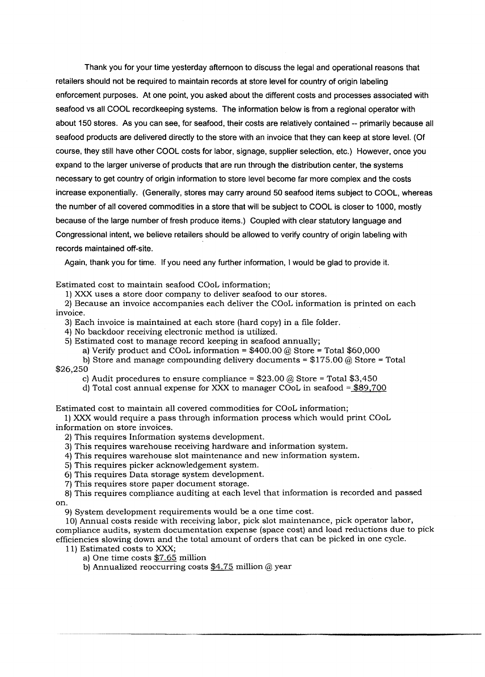Thank you for your time yesterday afternoon to discuss the legal and operational reasons that retailers should not be required to maintain records at store level for country of origin labeling enforcement purposes. At one point, you asked about the different costs and processes associated with seafood vs all COOL recordkeeping systems. The information below is from a regional operator with about 150 stores. As you can see, for seafood, their costs are relatively contained -- primarily because all seafood products are delivered directly to the store with an invoice that they can keep at store level. (Of course, they still have other COOL costs for labor, signage, supplier selection, etc.) However, once you expand to the larger universe of products that are run through the distribution center, the systems necessary to get country of origin information to store level become far more complex and the costs increase exponentially. (Generally, stores may carry around 50 seafood items subject to COOL, whereas the number of all covered commodities in a store that will be subject to COOL is closer to 1000, mostly because of the large number of fresh produce items.) Coupled with clear statutory language and Congressional intent, we believe retailers should be allowed to verify country of origin labeling with records maintained off-site.

Again, thank you for time. If you need any further information, I would be glad to provide it.

Estimated cost to maintain seafood COoL information;

1) XXX uses a store door company to deliver seafood to our stores.

2) Because an invoice accompanies each deliver the COoL information is printed on each invoice.

3) Each invoice is maintained at each store (hard copy) in a file folder.

4) No backdoor receiving electronic method is utilized.

5) Estimated cost to manage record keeping in seafood annually;

a) Verify product and COoL information =  $$400.00$  @ Store = Total \$60,000

b) Store and manage compounding delivery documents =  $$175.00 \&$$  Store = Total \$26,250

c) Audit procedures to ensure compliance =  $$23.00 \text{ } \textcircled{a}$  Store = Total \$3,450

d) Total cost annual expense for XXX to manager COoL in seafood = \$89,700

Estimated cost to maintain all covered commodities for COoL information;

1) XXX would require a pass through information process which would print COoL information on store invoices.

2) This requires Information systems development.

3) This requires warehouse receiving hardware and information system.

4) This requires warehouse slot maintenance and new information system.

5) This requires picker acknowledgement system.

6) This requires Data storage system development.

7) This requires store paper document storage.

8) This requires compliance auditing at each level that information is recorded and passed on.

9) System development requirements would be a one time cost.

10) Annual costs reside with receiving labor, pick slot maintenance, pick operator labor, compliance audits, system documentation expense (space cost) and load reductions due to pick efficiencies slowing down and the total amount of orders that can be picked in one cycle.

11) Estimated costs to XXX;

a) One time costs \$7.65 million

b) Annualized reoccurring costs  $$4.75$  million @ year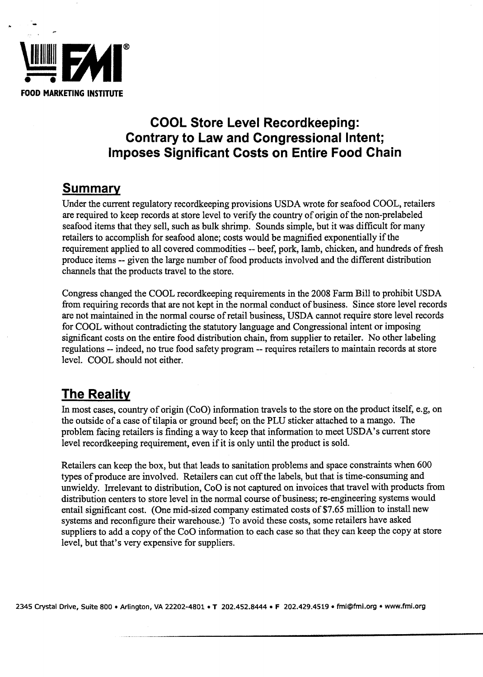

 $\ddot{\phantom{a}}$ 

# **COOL Store Level Recordkeeping: Contrary to Law and Congressional Intent; Imposes Significant Costs on Entire Food Chain**

### **Summary**

Under the current regulatory recordkeeping provisions USDA wrote for seafood COOL, retailers are required to keep records at store level to verify the country of origin of the non-prelabeled seafood items that they sell, such as bulk shrimp. Sounds simple, but it was difficult for many retailers to accomplish for seafood alone; costs would be magnified exponentially if the requirement applied to all covered commodities -- beef, pork, lamb, chicken, and hundreds of fresh produce items -- given the large number of food products involved and the different distribution channels that the products travel to the store.

Congress changed the COOL recordkeeping requirements in the 2008 Farm Bill to prohibit USDA from requiring records that are not kept in the normal conduct of business. Since store level records are not maintained in the normal course of retail business, USDA cannot require store level records for COOL without contradicting the statutory language and Congressional intent or imposing significant costs on the entire food distribution chain, from supplier to retailer. No other labeling regulations -- indeed, no true food safety program -- requires retailers to maintain records at store level. COOL should not either.

# **The Reality**

In most cases, country of origin (CoO) information travels to the store on the product itself, e.g, on the outside of a case of tilapia or ground beef; on the PLU sticker attached to a mango. The problem facing retailers is finding a way to keep that information to meet USDA's current store level record keeping requirement, even if it is only until the product is sold.

Retailers can keep the box, but that leads to sanitation problems and space constraints when 600 types of produce are involved. Retailers can cut off the labels, but that is time-consuming and unwieldy. Irrelevant to distribution, CoO is not captured on invoices that travel with products from distribution centers to store level in the normal course of business; re-engineering systems would entail significant cost. (One mid-sized company estimated costs of \$7.65 million to install new systems and reconfigure their warehouse.) To avoid these costs, some retailers have asked suppliers to add a copy of the CoO information to each case so that they can keep the copy at store level, but that's very expensive for suppliers.

2345 Crystal Drive, Suite 800 • Arlington, VA 22202-4801 • T 202.452.8444. F 202.429.4519. fmi@fmi.org • www.fmi.org